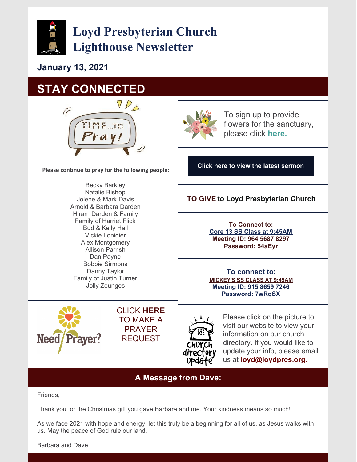

**Loyd Presbyterian Church Lighthouse Newsletter**

**January 13, 2021**

## **STAY CONNECTED**



**Please continue to pray for the following people:**

Becky Barkley Natalie Bishop Jolene & Mark Davis Arnold & Barbara Darden Hiram Darden & Family Family of Harriet Flick Bud & Kelly Hall Vickie Lonidier Alex Montgomery Allison Parrish Dan Payne Bobbie Sirmons Danny Taylor Family of Justin Turner Jolly Zeunges



To sign up to provide flowers for the sanctuary, please click **[here.](https://docs.google.com/document/d/1IeojWoCxryWk2HIiXD_TQ6OCK0Vb_oyFDTaHrG2ttio/edit)**

**Click here to view the latest [sermon](https://www.facebook.com/groups/191742127573683)**

#### **TO [GIVE](https://goo.gl/96TjWd) to Loyd Presbyterian Church**

**To Connect to: Core 13 SS Class at [9:45AM](https://zoom.us/j/96456878297?pwd=eVFxbDljbGl2TlFqWWExRnZkaitZQT09) Meeting ID: 964 5687 8297 Password: 54aEyr**

**To connect to: [MICKEY'S](https://zoom.us/j/91586597246?pwd=OHN2Y0lsTnMvanp4M2tKYXBoNldnQT09) SS CLASS AT 9:45AM Meeting ID: 915 8659 7246 Password: 7wRqSX**



CLICK **[HERE](mailto:loyd@loydpres.org)** TO MAKE A PRAYER REQUEST



Please click on the picture to visit our website to view your information on our church directory. If you would like to update your info, please email us at **[loyd@loydpres.org.](mailto:loyd@loydpres.org)**

### **A Message from Dave:**

Friends,

Thank you for the Christmas gift you gave Barbara and me. Your kindness means so much!

As we face 2021 with hope and energy, let this truly be a beginning for all of us, as Jesus walks with us. May the peace of God rule our land.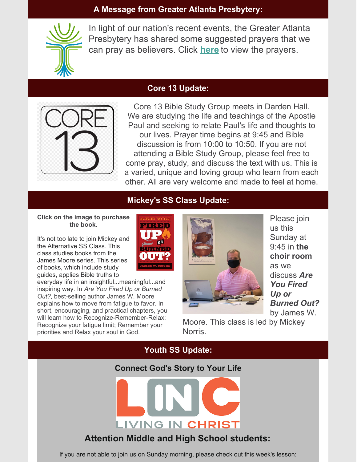#### **A Message from Greater Atlanta Presbytery:**



In light of our nation's recent events, the Greater Atlanta Presbytery has shared some suggested prayers that we can pray as believers. Click **[here](https://files.constantcontact.com/fe460a02801/274cba59-ea44-4ecd-90ae-c92e5e3d9ced.pdf)** to view the prayers.

## **Core 13 Update:**



Core 13 Bible Study Group meets in Darden Hall. We are studying the life and teachings of the Apostle Paul and seeking to relate Paul's life and thoughts to our lives. Prayer time begins at 9:45 and Bible discussion is from 10:00 to 10:50. If you are not attending a Bible Study Group, please feel free to come pray, study, and discuss the text with us. This is a varied, unique and loving group who learn from each other. All are very welcome and made to feel at home.

## **Mickey's SS Class Update:**

#### **Click on the image to purchase the book.**

It's not too late to join Mickey and the Alternative SS Class. This class studies books from the James Moore series. This series of books, which include study guides, applies Bible truths to

everyday life in an insightful...meaningful...and inspiring way. In *Are You Fired Up or Burned Out?*, best-selling author James W. Moore explains how to move from fatigue to favor. In short, encouraging, and practical chapters, you will learn how to Recognize-Remember-Relax: Recognize your fatigue limit; Remember your priorities and Relax your soul in God.





Please join us this Sunday at 9:45 in **the choir room** as we discuss *Are You Fired Up or Burned Out?* by James W.

Moore. This class is led by Mickey **Norris** 

### **Youth SS Update:**

#### **Connect God's Story to Your Life**



## **Attention Middle and High School students:**

If you are not able to join us on Sunday morning, please check out this week's lesson: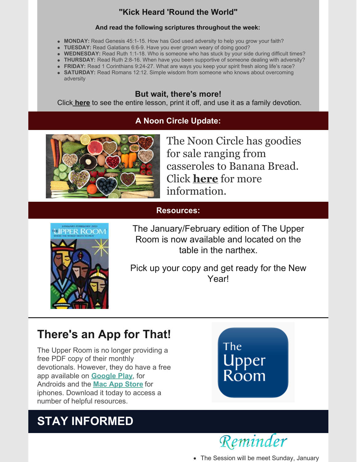## **"Kick Heard 'Round the World"**

#### **And read the following scriptures throughout the week:**

- **MONDAY:** Read Genesis 45:1-15. How has God used adversity to help you grow your faith?
- **TUESDAY:** Read Galatians 6:6-9. Have you ever grown weary of doing good?
- **WEDNESDAY:** Read Ruth 1:1-18. Who is someone who has stuck by your side during difficult times?
- **THURSDAY:** Read Ruth 2:8-16. When have you been supportive of someone dealing with adversity?
- **FRIDAY:** Read 1 Corinthians 9:24-27. What are ways you keep your spirit fresh along life's race?
- **SATURDAY:** Read Romans 12:12. Simple wisdom from someone who knows about overcoming adversity

## **But wait, there's more!**

Click **[here](https://files.constantcontact.com/fe460a02801/be143f11-a284-4c26-9f23-6627944f79ef.pdf)** to see the entire lesson, print it off, and use it as a family devotion.

## **A Noon Circle Update:**



The Noon Circle has goodies for sale ranging from casseroles to Banana Bread. Click **[here](https://files.constantcontact.com/fe460a02801/5b09f08f-b441-4417-8c1b-d76690cd75d0.pdf)** for more information.

### **Resources:**



The January/February edition of The Upper Room is now available and located on the table in the narthex.

Pick up your copy and get ready for the New Year!

## **There's an App for That!**

The Upper Room is no longer providing a free PDF copy of their monthly devotionals. However, they do have a free app available on **[Google](https://play.google.com/store/apps?hl=en_US&gl=US) Play**, for Androids and the **Mac App [Store](https://apps.apple.com/gb/app/upper-room-daily-devotional/id513950325)** for iphones. Download it today to access a number of helpful resources.

# **STAY INFORMED**





The Session will be meet Sunday, January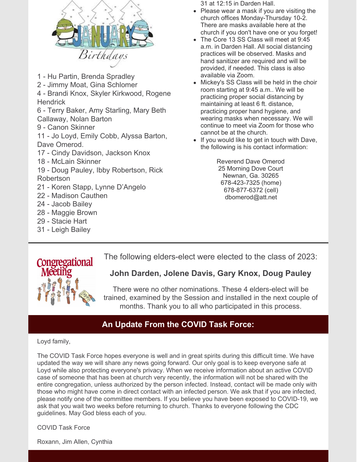

- 1 Hu Partin, Brenda Spradley
- 2 Jimmy Moat, Gina Schlomer

4 - Brandi Knox, Skyler Kirkwood, Rogene **Hendrick** 

6 - Terry Baker, Amy Starling, Mary Beth Callaway, Nolan Barton

9 - Canon Skinner

11 - Jo Loyd, Emily Cobb, Alyssa Barton, Dave Omerod.

- 17 Cindy Davidson, Jackson Knox
- 18 McLain Skinner
- 19 Doug Pauley, Ibby Robertson, Rick Robertson
- 21 Koren Stapp, Lynne D'Angelo
- 22 Madison Cauthen
- 24 Jacob Bailey
- 28 Maggie Brown
- 29 Stacie Hart
- 31 Leigh Bailey

31 at 12:15 in Darden Hall.

- Please wear a mask if you are visiting the church offices Monday-Thursday 10-2. There are masks available here at the church if you don't have one or you forget!
- The Core 13 SS Class will meet at 9:45 a.m. in Darden Hall. All social distancing practices will be observed. Masks and hand sanitizer are required and will be provided, if needed. This class is also available via Zoom.
- Mickey's SS Class will be held in the choir room starting at 9:45 a.m.. We will be practicing proper social distancing by maintaining at least 6 ft. distance, practicing proper hand hygiene, and wearing masks when necessary. We will continue to meet via Zoom for those who cannot be at the church.
- If you would like to get in touch with Dave, the following is his contact information:

Reverend Dave Omerod 25 Morning Dove Court Newnan, Ga. 30265 678-423-7325 (home) 678-877-6372 (cell) dbomerod@att.net

The following elders-elect were elected to the class of 2023:



## **John Darden, Jolene Davis, Gary Knox, Doug Pauley**

There were no other nominations. These 4 elders-elect will be trained, examined by the Session and installed in the next couple of months. Thank you to all who participated in this process.

## **An Update From the COVID Task Force:**

#### Loyd family,

The COVID Task Force hopes everyone is well and in great spirits during this difficult time. We have updated the way we will share any news going forward. Our only goal is to keep everyone safe at Loyd while also protecting everyone's privacy. When we receive information about an active COVID case of someone that has been at church very recently, the information will not be shared with the entire congregation, unless authorized by the person infected. Instead, contact will be made only with those who might have come in direct contact with an infected person. We ask that if you are infected, please notify one of the committee members. If you believe you have been exposed to COVID-19, we ask that you wait two weeks before returning to church. Thanks to everyone following the CDC guidelines. May God bless each of you.

COVID Task Force

Roxann, Jim Allen, Cynthia